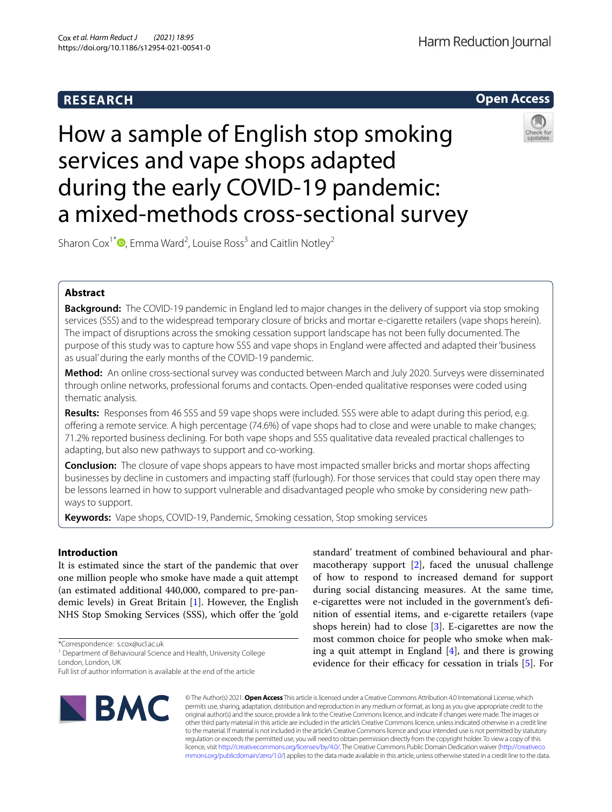# **RESEARCH**

Harm Reduction Journal



# How a sample of English stop smoking services and vape shops adapted during the early COVID-19 pandemic: a mixed-methods cross-sectional survey



Sharon Cox<sup>1\*</sup><sup>(D</sup>[,](http://orcid.org/0000-0001-8494-5105) Emma Ward<sup>2</sup>, Louise Ross<sup>3</sup> and Caitlin Notley<sup>2</sup>

# **Abstract**

**Background:** The COVID-19 pandemic in England led to major changes in the delivery of support via stop smoking services (SSS) and to the widespread temporary closure of bricks and mortar e-cigarette retailers (vape shops herein). The impact of disruptions across the smoking cessation support landscape has not been fully documented. The purpose of this study was to capture how SSS and vape shops in England were afected and adapted their 'business as usual' during the early months of the COVID-19 pandemic.

**Method:** An online cross-sectional survey was conducted between March and July 2020. Surveys were disseminated through online networks, professional forums and contacts. Open-ended qualitative responses were coded using thematic analysis.

**Results:** Responses from 46 SSS and 59 vape shops were included. SSS were able to adapt during this period, e.g. ofering a remote service. A high percentage (74.6%) of vape shops had to close and were unable to make changes; 71.2% reported business declining. For both vape shops and SSS qualitative data revealed practical challenges to adapting, but also new pathways to support and co-working.

**Conclusion:** The closure of vape shops appears to have most impacted smaller bricks and mortar shops afecting businesses by decline in customers and impacting staff (furlough). For those services that could stay open there may be lessons learned in how to support vulnerable and disadvantaged people who smoke by considering new pathways to support.

**Keywords:** Vape shops, COVID-19, Pandemic, Smoking cessation, Stop smoking services

# **Introduction**

It is estimated since the start of the pandemic that over one million people who smoke have made a quit attempt (an estimated additional 440,000, compared to pre-pandemic levels) in Great Britain [[1\]](#page-10-0). However, the English NHS Stop Smoking Services (SSS), which offer the 'gold

\*Correspondence: s.cox@ucl.ac.uk

<sup>1</sup> Department of Behavioural Science and Health, University College London, London, UK

Full list of author information is available at the end of the article



standard' treatment of combined behavioural and pharmacotherapy support [\[2\]](#page-10-1), faced the unusual challenge of how to respond to increased demand for support during social distancing measures. At the same time, e-cigarettes were not included in the government's defnition of essential items, and e-cigarette retailers (vape shops herein) had to close [\[3](#page-10-2)]. E-cigarettes are now the most common choice for people who smoke when making a quit attempt in England  $[4]$  $[4]$ , and there is growing evidence for their efficacy for cessation in trials  $[5]$ . For

© The Author(s) 2021. **Open Access** This article is licensed under a Creative Commons Attribution 4.0 International License, which permits use, sharing, adaptation, distribution and reproduction in any medium or format, as long as you give appropriate credit to the original author(s) and the source, provide a link to the Creative Commons licence, and indicate if changes were made. The images or other third party material in this article are included in the article's Creative Commons licence, unless indicated otherwise in a credit line to the material. If material is not included in the article's Creative Commons licence and your intended use is not permitted by statutory regulation or exceeds the permitted use, you will need to obtain permission directly from the copyright holder. To view a copy of this licence, visit [http://creativecommons.org/licenses/by/4.0/.](http://creativecommons.org/licenses/by/4.0/) The Creative Commons Public Domain Dedication waiver ([http://creativeco](http://creativecommons.org/publicdomain/zero/1.0/) [mmons.org/publicdomain/zero/1.0/](http://creativecommons.org/publicdomain/zero/1.0/)) applies to the data made available in this article, unless otherwise stated in a credit line to the data.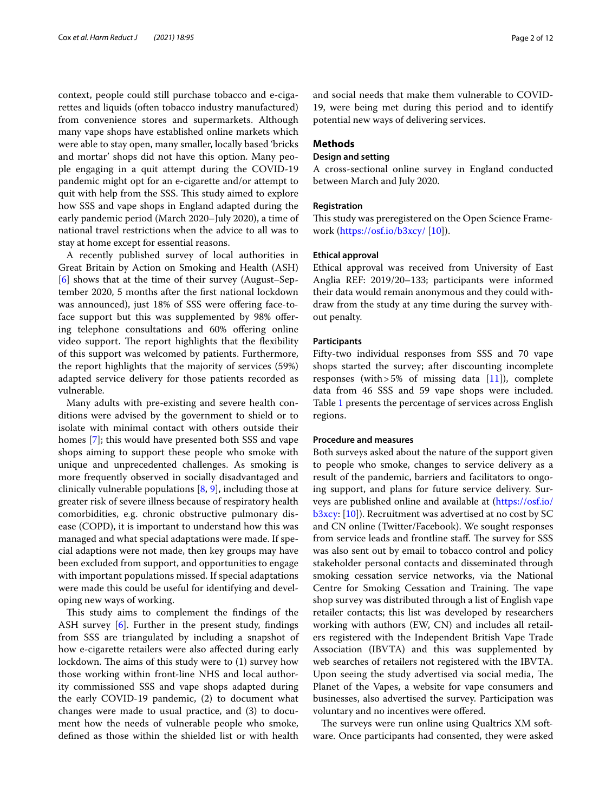context, people could still purchase tobacco and e-cigarettes and liquids (often tobacco industry manufactured) from convenience stores and supermarkets. Although many vape shops have established online markets which were able to stay open, many smaller, locally based 'bricks and mortar' shops did not have this option. Many people engaging in a quit attempt during the COVID-19 pandemic might opt for an e-cigarette and/or attempt to quit with help from the SSS. This study aimed to explore how SSS and vape shops in England adapted during the early pandemic period (March 2020–July 2020), a time of national travel restrictions when the advice to all was to stay at home except for essential reasons.

A recently published survey of local authorities in Great Britain by Action on Smoking and Health (ASH) [[6\]](#page-10-5) shows that at the time of their survey (August–September 2020, 5 months after the frst national lockdown was announced), just 18% of SSS were offering face-toface support but this was supplemented by 98% offering telephone consultations and 60% offering online video support. The report highlights that the flexibility of this support was welcomed by patients. Furthermore, the report highlights that the majority of services (59%) adapted service delivery for those patients recorded as vulnerable.

Many adults with pre-existing and severe health conditions were advised by the government to shield or to isolate with minimal contact with others outside their homes [[7\]](#page-10-6); this would have presented both SSS and vape shops aiming to support these people who smoke with unique and unprecedented challenges. As smoking is more frequently observed in socially disadvantaged and clinically vulnerable populations  $[8, 9]$  $[8, 9]$  $[8, 9]$  $[8, 9]$  $[8, 9]$ , including those at greater risk of severe illness because of respiratory health comorbidities, e.g. chronic obstructive pulmonary disease (COPD), it is important to understand how this was managed and what special adaptations were made. If special adaptions were not made, then key groups may have been excluded from support, and opportunities to engage with important populations missed. If special adaptations were made this could be useful for identifying and developing new ways of working.

This study aims to complement the findings of the ASH survey [\[6](#page-10-5)]. Further in the present study, fndings from SSS are triangulated by including a snapshot of how e-cigarette retailers were also afected during early lockdown. The aims of this study were to  $(1)$  survey how those working within front-line NHS and local authority commissioned SSS and vape shops adapted during the early COVID-19 pandemic, (2) to document what changes were made to usual practice, and (3) to document how the needs of vulnerable people who smoke, defned as those within the shielded list or with health and social needs that make them vulnerable to COVID-19, were being met during this period and to identify potential new ways of delivering services.

# **Methods**

# **Design and setting**

A cross-sectional online survey in England conducted between March and July 2020.

# **Registration**

This study was preregistered on the Open Science Framework (<https://osf.io/b3xcy/> [[10\]](#page-10-9)).

#### **Ethical approval**

Ethical approval was received from University of East Anglia REF: 2019/20–133; participants were informed their data would remain anonymous and they could withdraw from the study at any time during the survey without penalty.

#### **Participants**

Fifty-two individual responses from SSS and 70 vape shops started the survey; after discounting incomplete responses (with  $>5\%$  of missing data [\[11](#page-10-10)]), complete data from 46 SSS and 59 vape shops were included. Table [1](#page-2-0) presents the percentage of services across English regions.

#### **Procedure and measures**

Both surveys asked about the nature of the support given to people who smoke, changes to service delivery as a result of the pandemic, barriers and facilitators to ongoing support, and plans for future service delivery. Surveys are published online and available at ([https://osf.io/](https://osf.io/b3xcy) [b3xcy:](https://osf.io/b3xcy) [[10](#page-10-9)]). Recruitment was advertised at no cost by SC and CN online (Twitter/Facebook). We sought responses from service leads and frontline staff. The survey for SSS was also sent out by email to tobacco control and policy stakeholder personal contacts and disseminated through smoking cessation service networks, via the National Centre for Smoking Cessation and Training. The vape shop survey was distributed through a list of English vape retailer contacts; this list was developed by researchers working with authors (EW, CN) and includes all retailers registered with the Independent British Vape Trade Association (IBVTA) and this was supplemented by web searches of retailers not registered with the IBVTA. Upon seeing the study advertised via social media, The Planet of the Vapes, a website for vape consumers and businesses, also advertised the survey. Participation was voluntary and no incentives were ofered.

The surveys were run online using Qualtrics XM software. Once participants had consented, they were asked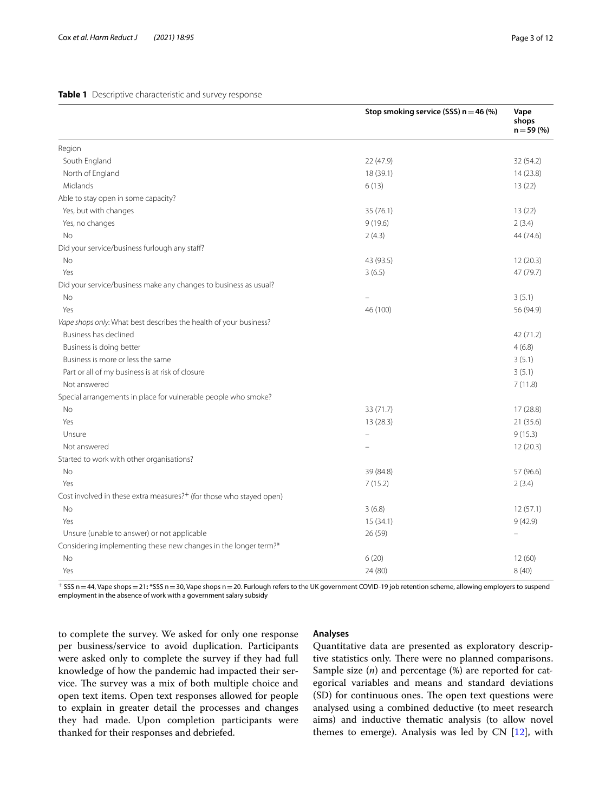#### <span id="page-2-0"></span>**Table 1** Descriptive characteristic and survey response

|                                                                                 | Stop smoking service (SSS) $n = 46$ (%) | Vape<br>shops<br>$n = 59(%)$ |
|---------------------------------------------------------------------------------|-----------------------------------------|------------------------------|
| Region                                                                          |                                         |                              |
| South England                                                                   | 22 (47.9)                               | 32 (54.2)                    |
| North of England                                                                | 18 (39.1)                               | 14(23.8)                     |
| Midlands                                                                        | 6(13)                                   | 13 (22)                      |
| Able to stay open in some capacity?                                             |                                         |                              |
| Yes, but with changes                                                           | 35 (76.1)                               | 13(22)                       |
| Yes, no changes                                                                 | 9(19.6)                                 | 2(3.4)                       |
| No                                                                              | 2(4.3)                                  | 44 (74.6)                    |
| Did your service/business furlough any staff?                                   |                                         |                              |
| No                                                                              | 43 (93.5)                               | 12(20.3)                     |
| Yes                                                                             | 3(6.5)                                  | 47 (79.7)                    |
| Did your service/business make any changes to business as usual?                |                                         |                              |
| No                                                                              |                                         | 3(5.1)                       |
| Yes                                                                             | 46 (100)                                | 56 (94.9)                    |
| Vape shops only: What best describes the health of your business?               |                                         |                              |
| Business has declined                                                           |                                         | 42 (71.2)                    |
| Business is doing better                                                        |                                         | 4(6.8)                       |
| Business is more or less the same                                               |                                         | 3(5.1)                       |
| Part or all of my business is at risk of closure                                |                                         | 3(5.1)                       |
| Not answered                                                                    |                                         | 7(11.8)                      |
| Special arrangements in place for vulnerable people who smoke?                  |                                         |                              |
| No                                                                              | 33 (71.7)                               | 17(28.8)                     |
| Yes                                                                             | 13(28.3)                                | 21 (35.6)                    |
| Unsure                                                                          |                                         | 9(15.3)                      |
| Not answered                                                                    |                                         | 12(20.3)                     |
| Started to work with other organisations?                                       |                                         |                              |
| <b>No</b>                                                                       | 39 (84.8)                               | 57 (96.6)                    |
| Yes                                                                             | 7(15.2)                                 | 2(3.4)                       |
| Cost involved in these extra measures? <sup>+</sup> (for those who stayed open) |                                         |                              |
| No                                                                              | 3(6.8)                                  | 12(57.1)                     |
| Yes                                                                             | 15(34.1)                                | 9(42.9)                      |
| Unsure (unable to answer) or not applicable                                     | 26 (59)                                 | $\equiv$                     |
| Considering implementing these new changes in the longer term?*                 |                                         |                              |
| No                                                                              | 6(20)                                   | 12(60)                       |
| Yes                                                                             | 24 (80)                                 | 8(40)                        |

<sup>+</sup> SSS n=44, Vape shops=21**:** \*SSS n=30, Vape shops n=20. Furlough refers to the UK government COVID-19 job retention scheme, allowing employers to suspend employment in the absence of work with a government salary subsidy

to complete the survey. We asked for only one response per business/service to avoid duplication. Participants were asked only to complete the survey if they had full knowledge of how the pandemic had impacted their service. The survey was a mix of both multiple choice and open text items. Open text responses allowed for people to explain in greater detail the processes and changes they had made. Upon completion participants were thanked for their responses and debriefed.

# **Analyses**

Quantitative data are presented as exploratory descriptive statistics only. There were no planned comparisons. Sample size (*n*) and percentage (%) are reported for categorical variables and means and standard deviations (SD) for continuous ones. The open text questions were analysed using a combined deductive (to meet research aims) and inductive thematic analysis (to allow novel themes to emerge). Analysis was led by CN [[12\]](#page-10-11), with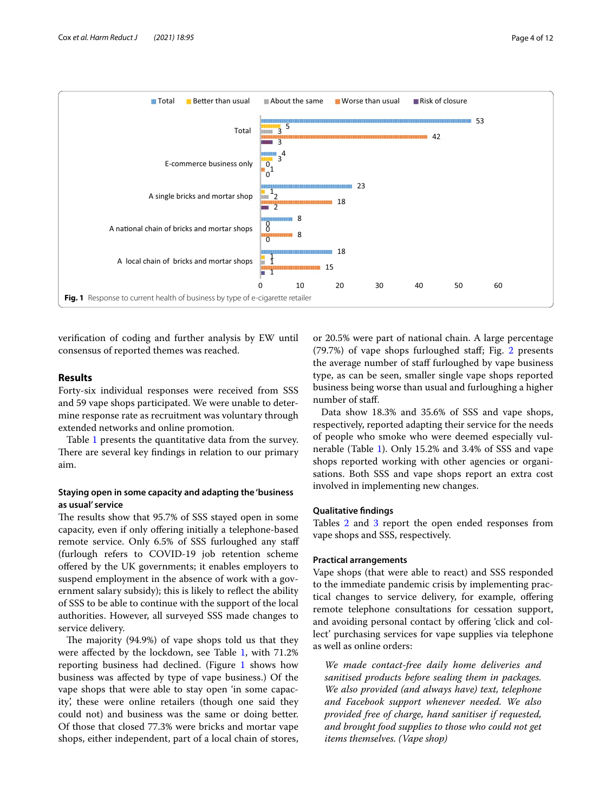

<span id="page-3-0"></span>verifcation of coding and further analysis by EW until consensus of reported themes was reached.

# **Results**

Forty-six individual responses were received from SSS and 59 vape shops participated. We were unable to determine response rate as recruitment was voluntary through extended networks and online promotion.

Table [1](#page-2-0) presents the quantitative data from the survey. There are several key findings in relation to our primary aim.

# **Staying open in some capacity and adapting the 'business as usual' service**

The results show that 95.7% of SSS stayed open in some capacity, even if only offering initially a telephone-based remote service. Only 6.5% of SSS furloughed any staf (furlough refers to COVID-19 job retention scheme ofered by the UK governments; it enables employers to suspend employment in the absence of work with a government salary subsidy); this is likely to refect the ability of SSS to be able to continue with the support of the local authorities. However, all surveyed SSS made changes to service delivery.

The majority (94.9%) of vape shops told us that they were affected by the lockdown, see Table [1,](#page-2-0) with 71.2% reporting business had declined. (Figure [1](#page-3-0) shows how business was afected by type of vape business.) Of the vape shops that were able to stay open 'in some capacity', these were online retailers (though one said they could not) and business was the same or doing better. Of those that closed 77.3% were bricks and mortar vape shops, either independent, part of a local chain of stores, or 20.5% were part of national chain. A large percentage (79.7%) of vape shops furloughed staf; Fig. [2](#page-4-0) presents the average number of staff furloughed by vape business type, as can be seen, smaller single vape shops reported business being worse than usual and furloughing a higher number of staf.

Data show 18.3% and 35.6% of SSS and vape shops, respectively, reported adapting their service for the needs of people who smoke who were deemed especially vulnerable (Table [1\)](#page-2-0). Only 15.2% and 3.4% of SSS and vape shops reported working with other agencies or organisations. Both SSS and vape shops report an extra cost involved in implementing new changes.

# **Qualitative fndings**

Tables [2](#page-5-0) and [3](#page-7-0) report the open ended responses from vape shops and SSS, respectively.

# **Practical arrangements**

Vape shops (that were able to react) and SSS responded to the immediate pandemic crisis by implementing practical changes to service delivery, for example, ofering remote telephone consultations for cessation support, and avoiding personal contact by ofering 'click and collect' purchasing services for vape supplies via telephone as well as online orders:

*We made contact-free daily home deliveries and sanitised products before sealing them in packages. We also provided (and always have) text, telephone and Facebook support whenever needed. We also provided free of charge, hand sanitiser if requested, and brought food supplies to those who could not get items themselves. (Vape shop)*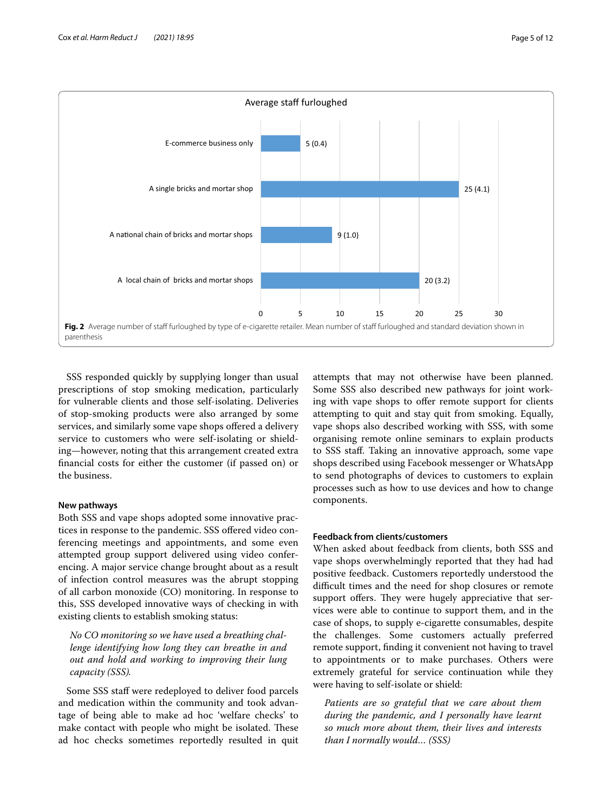

<span id="page-4-0"></span>SSS responded quickly by supplying longer than usual prescriptions of stop smoking medication, particularly for vulnerable clients and those self-isolating. Deliveries of stop-smoking products were also arranged by some services, and similarly some vape shops offered a delivery service to customers who were self-isolating or shielding—however, noting that this arrangement created extra fnancial costs for either the customer (if passed on) or the business.

# **New pathways**

Both SSS and vape shops adopted some innovative practices in response to the pandemic. SSS ofered video conferencing meetings and appointments, and some even attempted group support delivered using video conferencing. A major service change brought about as a result of infection control measures was the abrupt stopping of all carbon monoxide (CO) monitoring. In response to this, SSS developed innovative ways of checking in with existing clients to establish smoking status:

*No CO monitoring so we have used a breathing challenge identifying how long they can breathe in and out and hold and working to improving their lung capacity (SSS).*

Some SSS staf were redeployed to deliver food parcels and medication within the community and took advantage of being able to make ad hoc 'welfare checks' to make contact with people who might be isolated. These ad hoc checks sometimes reportedly resulted in quit attempts that may not otherwise have been planned. Some SSS also described new pathways for joint working with vape shops to offer remote support for clients attempting to quit and stay quit from smoking. Equally, vape shops also described working with SSS, with some organising remote online seminars to explain products to SSS staf. Taking an innovative approach, some vape shops described using Facebook messenger or WhatsApp to send photographs of devices to customers to explain processes such as how to use devices and how to change components.

# **Feedback from clients/customers**

When asked about feedback from clients, both SSS and vape shops overwhelmingly reported that they had had positive feedback. Customers reportedly understood the difficult times and the need for shop closures or remote support offers. They were hugely appreciative that services were able to continue to support them, and in the case of shops, to supply e-cigarette consumables, despite the challenges. Some customers actually preferred remote support, fnding it convenient not having to travel to appointments or to make purchases. Others were extremely grateful for service continuation while they were having to self-isolate or shield:

*Patients are so grateful that we care about them during the pandemic, and I personally have learnt so much more about them, their lives and interests than I normally would… (SSS)*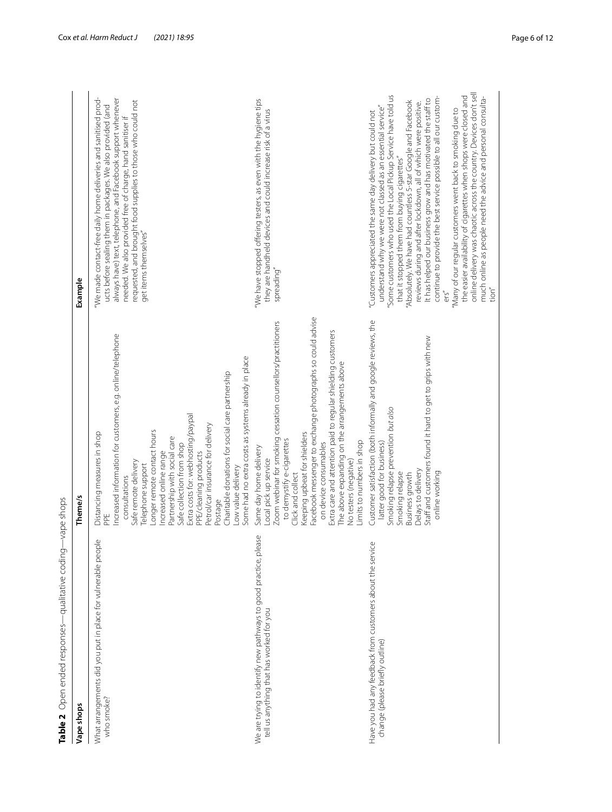<span id="page-5-0"></span>

| Table 2 Open ended responses—qualitative coding-                                                            | -vape shops                                                                                                                                                                                                                                                                                                                                                                                                                                                                                                                  |                                                                                                                                                                                                                                                                                                                                                                                                                                                                                                                                                                                                                                                                                                                                                                                                                |
|-------------------------------------------------------------------------------------------------------------|------------------------------------------------------------------------------------------------------------------------------------------------------------------------------------------------------------------------------------------------------------------------------------------------------------------------------------------------------------------------------------------------------------------------------------------------------------------------------------------------------------------------------|----------------------------------------------------------------------------------------------------------------------------------------------------------------------------------------------------------------------------------------------------------------------------------------------------------------------------------------------------------------------------------------------------------------------------------------------------------------------------------------------------------------------------------------------------------------------------------------------------------------------------------------------------------------------------------------------------------------------------------------------------------------------------------------------------------------|
| Vape shops                                                                                                  | Theme/s                                                                                                                                                                                                                                                                                                                                                                                                                                                                                                                      | Example                                                                                                                                                                                                                                                                                                                                                                                                                                                                                                                                                                                                                                                                                                                                                                                                        |
| What arrangements did you put in place for vulnerable people<br>who smoke?                                  | Increased information for customers, e.g. online/telephone<br>Some had no extra costs as systems already in place<br>Charitable donations for social care partnership<br>Extra costs for: webhosting/paypal<br>Petrol/car insurance for delivery<br>-onger remote contact hours<br>Distancing measures in shop<br>Partnership with social care<br>Safe collection from shop<br>ncreased online range<br>PPE/cleaning products<br>Safe remote delivery<br>Telephone support<br>Low value delivery<br>consultations<br>Postage | We made contact-free daily home deliveries and sanitised prod-<br>always have) text, telephone, and Facebook support whenever<br>requested, and brought food supplies to those who could not<br>ucts before sealing them in packages. We also provided (and<br>needed. We also provided free of charge, hand sanitiser if<br>get items themselves"                                                                                                                                                                                                                                                                                                                                                                                                                                                             |
| We are trying to identify new pathways to good practice, please<br>tell us anything that has worked for you | Facebook messenger to exchange photographs so could advise<br>Zoom webinar for smoking cessation counsellors/practitioners<br>Extra care and attention paid to regular shielding customers<br>The above expanding on the arrangements above<br>Keeping upbeat for shielders<br>to demystify e-cigarettes<br>Limits to numbers in shop<br>on device consumables<br>Same day home delivery<br>Local pick up service<br>No testers (negative)<br>Click and collect                                                              | 'We have stopped offering testers, as even with the hygiene tips<br>they are handheld devices and could increase risk of a virus<br>spreading"                                                                                                                                                                                                                                                                                                                                                                                                                                                                                                                                                                                                                                                                 |
| Have you had any feedback from customers about the service<br>change (please briefly outline)               | Customer satisfaction (both informally and google reviews, the<br>Staff and customers found it hard to get to grips with new<br>Smoking relapse prevention but also<br>latter good for business)<br>Delays to delivery<br>Smoking relapse<br>online working<br>Business growth                                                                                                                                                                                                                                               | online delivery was chaotic across the country. Devices don't sell<br>"Some customers who used the Local Pickup Service have told us<br>the easier availability of cigarettes when shops were closed and<br>much online as people need the advice and personal consulta-<br>continue to provide the best service possible to all our custom-<br>It has helped our business grow and has motivated the staff to<br>'Absolutely. We have had countless 5-star Google and Facebook<br>reviews during and after lockdown, all of which were positive.<br>understand why we were not classed as an essential service"<br>"Many of our regular customers went back to smoking due to<br>"Customers appreciated the same day delivery but could not<br>that it stopped them from buying cigarettes"<br>tion"<br>ers'' |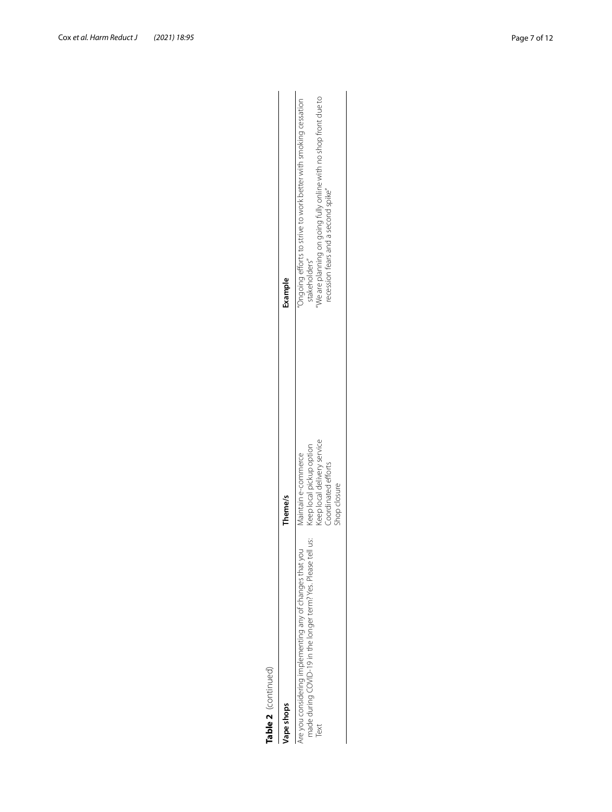| Table 2 (continued)                                                                                                              |                                                                                                                       |                                                                                                                                                                                           |
|----------------------------------------------------------------------------------------------------------------------------------|-----------------------------------------------------------------------------------------------------------------------|-------------------------------------------------------------------------------------------------------------------------------------------------------------------------------------------|
| ape shops                                                                                                                        | Theme/s                                                                                                               | Example                                                                                                                                                                                   |
| ÿ<br>we you considering implementing any of changes that you<br>nade during COVID-19 in the longer term? Yes. Please tel<br>Text | Keep local delivery service<br>Keep local pickup option<br>Maintain e-commerce<br>Coordinated efforts<br>shop closure | Ve are planning on going fully online with no shop front due to<br>Ongoing efforts to strive to work better with smoking cessation<br>ecession fears and a second spike"<br>stakeholders" |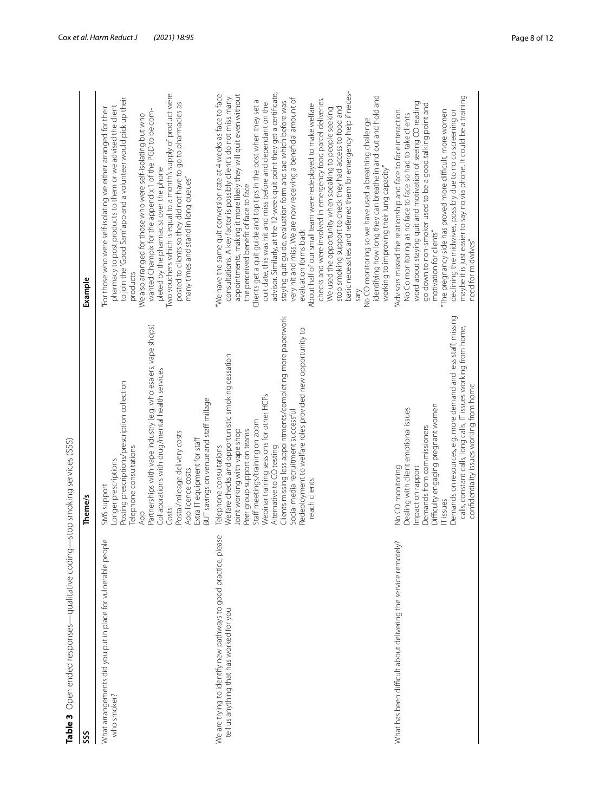<span id="page-7-0"></span>

| I<br>  りりことり りょうこうりょう costo costom |  |
|------------------------------------|--|
|                                    |  |
|                                    |  |
|                                    |  |
|                                    |  |
|                                    |  |
|                                    |  |
|                                    |  |
|                                    |  |
|                                    |  |
|                                    |  |
|                                    |  |
|                                    |  |
|                                    |  |
|                                    |  |
|                                    |  |
|                                    |  |
|                                    |  |
| $\frac{1}{2}$<br>$\frac{1}{2}$     |  |
|                                    |  |
|                                    |  |
|                                    |  |
|                                    |  |
|                                    |  |
| s silent de l'anti-                |  |
| $\frac{1}{1}$                      |  |
|                                    |  |
|                                    |  |
|                                    |  |
|                                    |  |
|                                    |  |
|                                    |  |
|                                    |  |
|                                    |  |
|                                    |  |
|                                    |  |
|                                    |  |
|                                    |  |
|                                    |  |
|                                    |  |
|                                    |  |
|                                    |  |
|                                    |  |
|                                    |  |
|                                    |  |
|                                    |  |
| $\frac{1}{2}$                      |  |
|                                    |  |
|                                    |  |
|                                    |  |
|                                    |  |
|                                    |  |
|                                    |  |
| י<br>גרוני<br>גרוני                |  |
|                                    |  |
|                                    |  |
|                                    |  |
|                                    |  |
|                                    |  |
|                                    |  |
| こうりょうりょう うりてる<br>ソリシー・リント          |  |
|                                    |  |
|                                    |  |
|                                    |  |
|                                    |  |
|                                    |  |
| $\frac{1}{2}$<br>$\frac{1}{2}$     |  |

| Open ended responses—qualitative coding—stop smoking services (SSS)<br>Table 3                                  |                                                                                                                                                                                                                                                                                                                                                                                                                                              |                                                                                                                                                                                                                                                                                                                                                                                                                                                                                                                                                                                                                                                                                                                                                                                                                                                                                                                                                                                                                                                                                                                                 |
|-----------------------------------------------------------------------------------------------------------------|----------------------------------------------------------------------------------------------------------------------------------------------------------------------------------------------------------------------------------------------------------------------------------------------------------------------------------------------------------------------------------------------------------------------------------------------|---------------------------------------------------------------------------------------------------------------------------------------------------------------------------------------------------------------------------------------------------------------------------------------------------------------------------------------------------------------------------------------------------------------------------------------------------------------------------------------------------------------------------------------------------------------------------------------------------------------------------------------------------------------------------------------------------------------------------------------------------------------------------------------------------------------------------------------------------------------------------------------------------------------------------------------------------------------------------------------------------------------------------------------------------------------------------------------------------------------------------------|
| SSS                                                                                                             | Theme/s                                                                                                                                                                                                                                                                                                                                                                                                                                      | Example                                                                                                                                                                                                                                                                                                                                                                                                                                                                                                                                                                                                                                                                                                                                                                                                                                                                                                                                                                                                                                                                                                                         |
| What arrangements did you put in place for vulnerable people<br>who smoker?                                     | Partnerships with vape industry (e.g. wholesalers, vape shops)<br>Collaborations with drug/mental health services<br>Posting prescriptions/prescription collection<br>BUT savings on venue and staff millage<br>Postal/mileage delivery costs<br>Extra IT equipment for staff<br>Telephone consultations<br>Longer prescriptions<br>App licence costs<br>SMS support<br>Costs:<br>App                                                        | Two vouchers which is equal to a month's supply of product were<br>to join the 'Good Sam' app and a volunteer would pick up their<br>posted to clients so they did not have to go to pharmacies as<br>pharmacy to post products to them or we advised the client<br>"For those who were self-isolating we either arranged for their<br>wanted Champix for the appendix 1 of the PGD to be com-<br>We also arranged for those who were self-isolating but who<br>pleted by the pharmacist over the phone<br>many times and stand in long queues"<br>products                                                                                                                                                                                                                                                                                                                                                                                                                                                                                                                                                                     |
| lease<br>We are trying to identify new pathways to good practice, p<br>tell us anything that has worked for you | Clients missing less appointments/completing more paperwork<br>Redeployment to welfare roles provided new opportunity to<br>Welfare checks and opportunistic smoking cessation<br>Webinar training sessions for other HCPs<br>Social media recruitment successful<br>Staff meetings/training on zoom<br>Joint working with vape shop<br>Peer group support on teams<br>Telephone consultations<br>Alternative to CO testing<br>reach clients | basic necessities and referred them for emergency help if neces-<br>advisor. Similarly, at the 12-week quit point they get a certificate,<br>We have the same quit conversion rate at 4 weeks as face to face<br>appointments, making it more likely they will quit even without<br>identifying how long they can breathe in and out and hold and<br>consultations. A key factor is possibly client's do not miss many<br>very hit and miss. We are now receiving a beneficial amount of<br>checks and were involved in emergency food parcel deliveries.<br>Clients get a quit guide and top tips in the post when they set a<br>staying quit guide, evaluation form and sae which before was<br>quit date, this was hit and miss before and dependant on the<br>About half of our small team were redeployed to make welfare<br>stop smoking support to check they had access to food and<br>We used the opportunity when speaking to people seeking<br>No CO monitoring so we have used a breathing challenge<br>working to improving their lung capacity'<br>the perceived benefit of face to face<br>evaluation forms back |
| What has been difficult about delivering the service remotely?                                                  | Demands on resources, e.g. more demand and less staff, missing<br>calls, constant calls, long calls, IT issues working from home,<br>confidentiality issues working from home<br>Difficulty engaging pregnant women<br>Dealing with client emotional issues<br>Demands from commissioners<br>Impact on rapport<br>No CO monitoring<br>IT issues                                                                                              | maybe it is just easier to say no via phone. It could be a training<br>word about staying quit and motivation of seeing CO reading<br>go down to non-smoker used to be a good talking point and<br>"Advisors missed the relationship and face to face interaction.<br>"The pregnancy side has proved more difficult, more women<br>declining the midwives, possibly due to no co screening or<br>No Co monitoring as no face to face so had to take clients<br>motivation for clients"<br>need for midwives"                                                                                                                                                                                                                                                                                                                                                                                                                                                                                                                                                                                                                    |
|                                                                                                                 |                                                                                                                                                                                                                                                                                                                                                                                                                                              |                                                                                                                                                                                                                                                                                                                                                                                                                                                                                                                                                                                                                                                                                                                                                                                                                                                                                                                                                                                                                                                                                                                                 |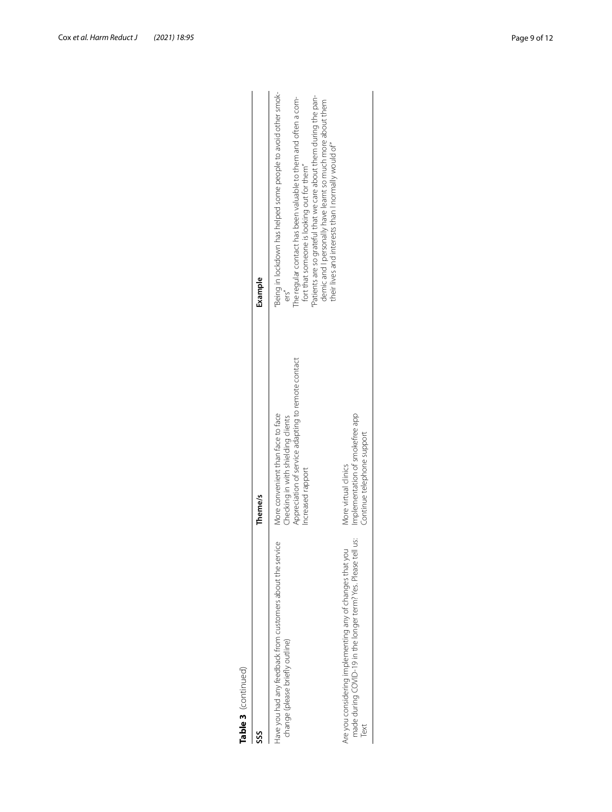| í<br>IJ<br>r |  |
|--------------|--|

| Table 3 (continued)                                                                                                               |                                                                                                                                                    |                                                                                                                                                                                                                                                                                                                                                                                 |
|-----------------------------------------------------------------------------------------------------------------------------------|----------------------------------------------------------------------------------------------------------------------------------------------------|---------------------------------------------------------------------------------------------------------------------------------------------------------------------------------------------------------------------------------------------------------------------------------------------------------------------------------------------------------------------------------|
| SSS                                                                                                                               | Theme/s                                                                                                                                            | Example                                                                                                                                                                                                                                                                                                                                                                         |
| Have you had any feedback from customers about the service<br>change (please briefly outline)                                     | Appreciation of service adapting to remote contact<br>More convenient than face to face<br>Checking in with shielding clients<br>Increased rapport | 'Being in lockdown has helped some people to avoid other smok-<br>Patients are so grateful that we care about them during the pan-<br>The regular contact has been valuable to them and often a com-<br>demic and I personally have learnt so much more about them<br>their lives and interests than I normally would of"<br>fort that someone is looking out for them"<br>ers" |
| made during COVID-19 in the longer term? Yes. Please tell us:<br>Are you considering implementing any of changes that you<br>Text | Implementation of smokefree app<br>Continue telephone support<br>More virtual clinics                                                              |                                                                                                                                                                                                                                                                                                                                                                                 |
|                                                                                                                                   |                                                                                                                                                    |                                                                                                                                                                                                                                                                                                                                                                                 |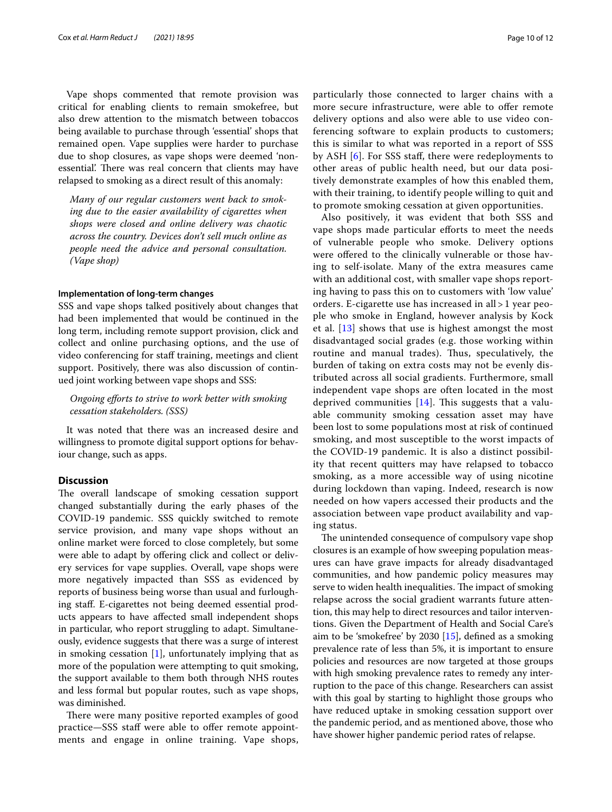Vape shops commented that remote provision was critical for enabling clients to remain smokefree, but also drew attention to the mismatch between tobaccos being available to purchase through 'essential' shops that remained open. Vape supplies were harder to purchase due to shop closures, as vape shops were deemed 'nonessential'. There was real concern that clients may have relapsed to smoking as a direct result of this anomaly:

*Many of our regular customers went back to smoking due to the easier availability of cigarettes when shops were closed and online delivery was chaotic across the country. Devices don't sell much online as people need the advice and personal consultation. (Vape shop)*

#### **Implementation of long‑term changes**

SSS and vape shops talked positively about changes that had been implemented that would be continued in the long term, including remote support provision, click and collect and online purchasing options, and the use of video conferencing for staff training, meetings and client support. Positively, there was also discussion of continued joint working between vape shops and SSS:

*Ongoing eforts to strive to work better with smoking cessation stakeholders. (SSS)*

It was noted that there was an increased desire and willingness to promote digital support options for behaviour change, such as apps.

#### **Discussion**

The overall landscape of smoking cessation support changed substantially during the early phases of the COVID-19 pandemic. SSS quickly switched to remote service provision, and many vape shops without an online market were forced to close completely, but some were able to adapt by offering click and collect or delivery services for vape supplies. Overall, vape shops were more negatively impacted than SSS as evidenced by reports of business being worse than usual and furloughing staf. E-cigarettes not being deemed essential products appears to have afected small independent shops in particular, who report struggling to adapt. Simultaneously, evidence suggests that there was a surge of interest in smoking cessation  $[1]$  $[1]$ , unfortunately implying that as more of the population were attempting to quit smoking, the support available to them both through NHS routes and less formal but popular routes, such as vape shops, was diminished.

There were many positive reported examples of good practice—SSS staff were able to offer remote appointments and engage in online training. Vape shops, particularly those connected to larger chains with a more secure infrastructure, were able to offer remote delivery options and also were able to use video conferencing software to explain products to customers; this is similar to what was reported in a report of SSS by ASH [[6](#page-10-5)]. For SSS staff, there were redeployments to other areas of public health need, but our data positively demonstrate examples of how this enabled them, with their training, to identify people willing to quit and to promote smoking cessation at given opportunities.

Also positively, it was evident that both SSS and vape shops made particular efforts to meet the needs of vulnerable people who smoke. Delivery options were offered to the clinically vulnerable or those having to self-isolate. Many of the extra measures came with an additional cost, with smaller vape shops reporting having to pass this on to customers with 'low value' orders. E-cigarette use has increased in all > 1 year people who smoke in England, however analysis by Kock et al. [[13\]](#page-10-12) shows that use is highest amongst the most disadvantaged social grades (e.g. those working within routine and manual trades). Thus, speculatively, the burden of taking on extra costs may not be evenly distributed across all social gradients. Furthermore, small independent vape shops are often located in the most deprived communities  $[14]$  $[14]$ . This suggests that a valuable community smoking cessation asset may have been lost to some populations most at risk of continued smoking, and most susceptible to the worst impacts of the COVID-19 pandemic. It is also a distinct possibility that recent quitters may have relapsed to tobacco smoking, as a more accessible way of using nicotine during lockdown than vaping. Indeed, research is now needed on how vapers accessed their products and the association between vape product availability and vaping status.

The unintended consequence of compulsory vape shop closures is an example of how sweeping population measures can have grave impacts for already disadvantaged communities, and how pandemic policy measures may serve to widen health inequalities. The impact of smoking relapse across the social gradient warrants future attention, this may help to direct resources and tailor interventions. Given the Department of Health and Social Care's aim to be 'smokefree' by 2030 [[15](#page-11-1)], defned as a smoking prevalence rate of less than 5%, it is important to ensure policies and resources are now targeted at those groups with high smoking prevalence rates to remedy any interruption to the pace of this change. Researchers can assist with this goal by starting to highlight those groups who have reduced uptake in smoking cessation support over the pandemic period, and as mentioned above, those who have shower higher pandemic period rates of relapse.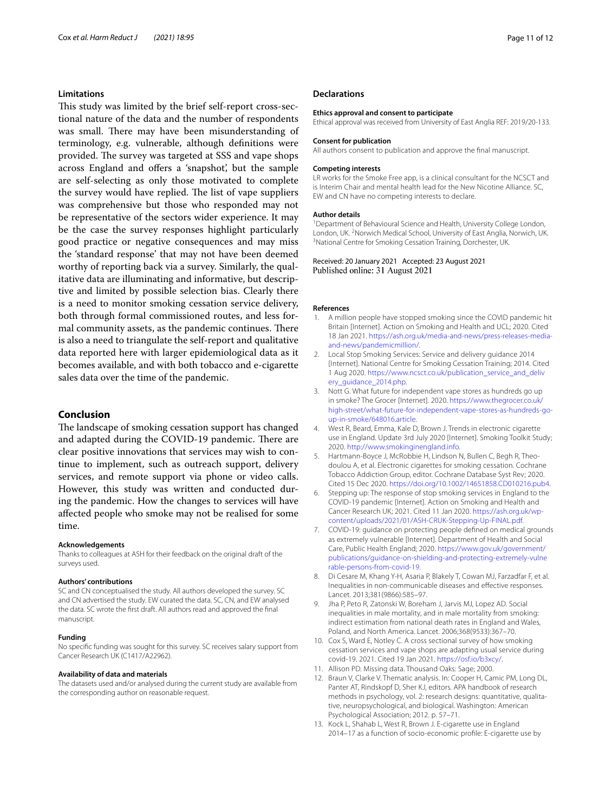#### **Limitations**

This study was limited by the brief self-report cross-sectional nature of the data and the number of respondents was small. There may have been misunderstanding of terminology, e.g. vulnerable, although defnitions were provided. The survey was targeted at SSS and vape shops across England and ofers a 'snapshot', but the sample are self-selecting as only those motivated to complete the survey would have replied. The list of vape suppliers was comprehensive but those who responded may not be representative of the sectors wider experience. It may be the case the survey responses highlight particularly good practice or negative consequences and may miss the 'standard response' that may not have been deemed worthy of reporting back via a survey. Similarly, the qualitative data are illuminating and informative, but descriptive and limited by possible selection bias. Clearly there is a need to monitor smoking cessation service delivery, both through formal commissioned routes, and less formal community assets, as the pandemic continues. There is also a need to triangulate the self-report and qualitative data reported here with larger epidemiological data as it becomes available, and with both tobacco and e-cigarette sales data over the time of the pandemic.

# **Conclusion**

The landscape of smoking cessation support has changed and adapted during the COVID-19 pandemic. There are clear positive innovations that services may wish to continue to implement, such as outreach support, delivery services, and remote support via phone or video calls. However, this study was written and conducted during the pandemic. How the changes to services will have afected people who smoke may not be realised for some time.

#### **Acknowledgements**

Thanks to colleagues at ASH for their feedback on the original draft of the surveys used.

#### **Authors' contributions**

SC and CN conceptualised the study. All authors developed the survey. SC and CN advertised the study. EW curated the data. SC, CN, and EW analysed the data. SC wrote the frst draft. All authors read and approved the fnal manuscript.

#### **Funding**

No specifc funding was sought for this survey. SC receives salary support from Cancer Research UK (C1417/A22962).

#### **Availability of data and materials**

The datasets used and/or analysed during the current study are available from the corresponding author on reasonable request.

#### **Declarations**

#### **Ethics approval and consent to participate**

Ethical approval was received from University of East Anglia REF: 2019/20-133.

#### **Consent for publication**

All authors consent to publication and approve the fnal manuscript.

#### **Competing interests**

LR works for the Smoke Free app, is a clinical consultant for the NCSCT and is Interim Chair and mental health lead for the New Nicotine Alliance. SC, EW and CN have no competing interests to declare.

#### **Author details**

<sup>1</sup> Department of Behavioural Science and Health, University College London, London, UK. <sup>2</sup> Norwich Medical School, University of East Anglia, Norwich, UK.<br><sup>3</sup> National Centre for Smoking Cessation Training, Dorchester LIK. <sup>3</sup> National Centre for Smoking Cessation Training, Dorchester, UK.

Received: 20 January 2021 Accepted: 23 August 2021 Published online: 31 August 2021

#### **References**

- <span id="page-10-0"></span>1. A million people have stopped smoking since the COVID pandemic hit Britain [Internet]. Action on Smoking and Health and UCL; 2020. Cited 18 Jan 2021. [https://ash.org.uk/media-and-news/press-releases-media](https://ash.org.uk/media-and-news/press-releases-media-and-news/pandemicmillion/)[and-news/pandemicmillion/](https://ash.org.uk/media-and-news/press-releases-media-and-news/pandemicmillion/).
- <span id="page-10-1"></span>2. Local Stop Smoking Services: Service and delivery guidance 2014 [Internet]. National Centre for Smoking Cessation Training; 2014. Cited 1 Aug 2020. [https://www.ncsct.co.uk/publication\\_service\\_and\\_deliv](https://www.ncsct.co.uk/publication_service_and_delivery_guidance_2014.php) [ery\\_guidance\\_2014.php](https://www.ncsct.co.uk/publication_service_and_delivery_guidance_2014.php).
- <span id="page-10-2"></span>3. Nott G. What future for independent vape stores as hundreds go up in smoke? The Grocer [Internet]. 2020. [https://www.thegrocer.co.uk/](https://www.thegrocer.co.uk/high-street/what-future-for-independent-vape-stores-as-hundreds-go-up-in-smoke/648016.article) [high-street/what-future-for-independent-vape-stores-as-hundreds-go](https://www.thegrocer.co.uk/high-street/what-future-for-independent-vape-stores-as-hundreds-go-up-in-smoke/648016.article)[up-in-smoke/648016.article.](https://www.thegrocer.co.uk/high-street/what-future-for-independent-vape-stores-as-hundreds-go-up-in-smoke/648016.article)
- <span id="page-10-3"></span>4. West R, Beard, Emma, Kale D, Brown J. Trends in electronic cigarette use in England. Update 3rd July 2020 [Internet]. Smoking Toolkit Study; 2020. [http://www.smokinginengland.info.](http://www.smokinginengland.info)
- <span id="page-10-4"></span>5. Hartmann-Boyce J, McRobbie H, Lindson N, Bullen C, Begh R, Theodoulou A, et al. Electronic cigarettes for smoking cessation. Cochrane Tobacco Addiction Group, editor. Cochrane Database Syst Rev; 2020. Cited 15 Dec 2020. [https://doi.org/10.1002/14651858.CD010216.pub4.](https://doi.org/10.1002/14651858.CD010216.pub4)
- <span id="page-10-5"></span>6. Stepping up: The response of stop smoking services in England to the COVID-19 pandemic [Internet]. Action on Smoking and Health and Cancer Research UK; 2021. Cited 11 Jan 2020. [https://ash.org.uk/wp](https://ash.org.uk/wp-content/uploads/2021/01/ASH-CRUK-Stepping-Up-FINAL.pdf)[content/uploads/2021/01/ASH-CRUK-Stepping-Up-FINAL.pdf.](https://ash.org.uk/wp-content/uploads/2021/01/ASH-CRUK-Stepping-Up-FINAL.pdf)
- <span id="page-10-6"></span>7. COVID-19: guidance on protecting people defned on medical grounds as extremely vulnerable [Internet]. Department of Health and Social Care, Public Health England; 2020. [https://www.gov.uk/government/](https://www.gov.uk/government/publications/guidance-on-shielding-and-protecting-extremely-vulnerable-persons-from-covid-19) [publications/guidance-on-shielding-and-protecting-extremely-vulne](https://www.gov.uk/government/publications/guidance-on-shielding-and-protecting-extremely-vulnerable-persons-from-covid-19) [rable-persons-from-covid-19](https://www.gov.uk/government/publications/guidance-on-shielding-and-protecting-extremely-vulnerable-persons-from-covid-19).
- <span id="page-10-7"></span>8. Di Cesare M, Khang Y-H, Asaria P, Blakely T, Cowan MJ, Farzadfar F, et al. Inequalities in non-communicable diseases and efective responses. Lancet. 2013;381(9866):585–97.
- <span id="page-10-8"></span>9. Jha P, Peto R, Zatonski W, Boreham J, Jarvis MJ, Lopez AD. Social inequalities in male mortality, and in male mortality from smoking: indirect estimation from national death rates in England and Wales, Poland, and North America. Lancet. 2006;368(9533):367–70.
- <span id="page-10-9"></span>10. Cox S, Ward E, Notley C. A cross sectional survey of how smoking cessation services and vape shops are adapting usual service during covid-19. 2021. Cited 19 Jan 2021. <https://osf.io/b3xcy/>.
- <span id="page-10-10"></span>11. Allison PD. Missing data. Thousand Oaks: Sage; 2000.
- <span id="page-10-11"></span>12. Braun V, Clarke V. Thematic analysis. In: Cooper H, Camic PM, Long DL, Panter AT, Rindskopf D, Sher KJ, editors. APA handbook of research methods in psychology, vol. 2: research designs: quantitative, qualitative, neuropsychological, and biological. Washington: American Psychological Association; 2012. p. 57–71.
- <span id="page-10-12"></span>13. Kock L, Shahab L, West R, Brown J. E-cigarette use in England 2014–17 as a function of socio-economic profle: E-cigarette use by